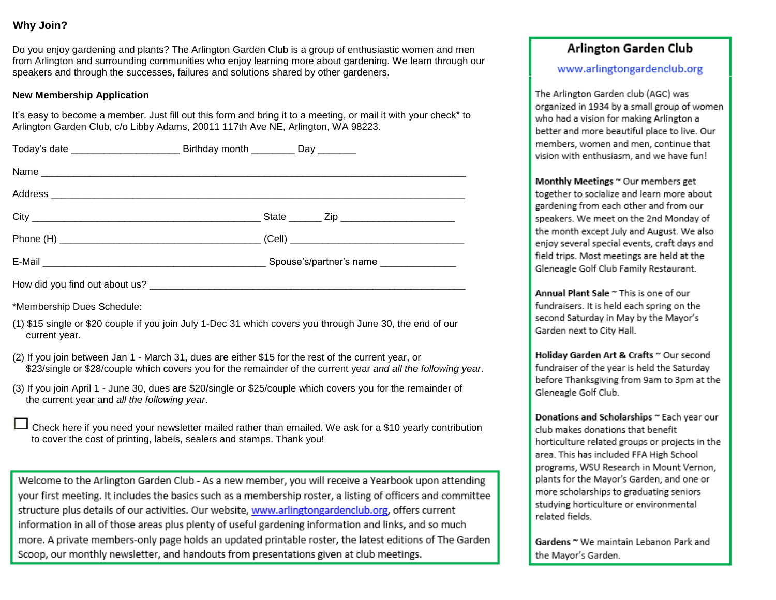#### **Why Join?**

 Do you enjoy gardening and plants? The Arlington Garden Club is a group of enthusiastic women and men from Arlington and surrounding communities who enjoy learning more about gardening. We learn through our speakers and through the successes, failures and solutions shared by other gardeners.

#### **New Membership Application**

 It's easy to become a member. Just fill out this form and bring it to a meeting, or mail it with your check\* to Arlington Garden Club, c/o Libby Adams, 20011 117th Ave NE, Arlington, WA 98223.

| Today's date <b>Example 2 Birthday month</b> Day                                                                                                                                                                  |  |                                                                                                               |
|-------------------------------------------------------------------------------------------------------------------------------------------------------------------------------------------------------------------|--|---------------------------------------------------------------------------------------------------------------|
|                                                                                                                                                                                                                   |  |                                                                                                               |
|                                                                                                                                                                                                                   |  |                                                                                                               |
|                                                                                                                                                                                                                   |  |                                                                                                               |
|                                                                                                                                                                                                                   |  |                                                                                                               |
|                                                                                                                                                                                                                   |  |                                                                                                               |
|                                                                                                                                                                                                                   |  |                                                                                                               |
| *Membership Dues Schedule:                                                                                                                                                                                        |  |                                                                                                               |
| current year.                                                                                                                                                                                                     |  | (1) \$15 single or \$20 couple if you join July 1-Dec 31 which covers you through June 30, the end of our     |
| (2) If you join between Jan 1 - March 31, dues are either \$15 for the rest of the current year, or                                                                                                               |  | \$23/single or \$28/couple which covers you for the remainder of the current year and all the following year. |
| (3) If you join April 1 - June 30, dues are \$20/single or \$25/couple which covers you for the remainder of<br>the current year and all the following year.                                                      |  |                                                                                                               |
| Check here if you need your newsletter mailed rather than emailed. We ask for a \$10 yearly contribution<br>to cover the cost of printing, labels, sealers and stamps. Thank you!                                 |  |                                                                                                               |
|                                                                                                                                                                                                                   |  |                                                                                                               |
| Welcome to the Arlington Garden Club - As a new member, you will receive a Yearbook upon attending<br>your first meeting. It includes the basics such as a membership roster, a listing of officers and committee |  |                                                                                                               |
| structure plus details of our activities. Our website, www.arlingtongardenclub.org, offers current                                                                                                                |  |                                                                                                               |
| information in all of those areas plus plenty of useful gardening information and links, and so much                                                                                                              |  |                                                                                                               |

reas plus plenty of useful gardening information and links, and so much more. A private members-only page holds an updated printable roster, the latest editions of The Garden Scoop, our monthly newsletter, and handouts from presentations given at club meetings.

### Arlington Garden Club

#### www.arlingtongardenclub.org

The Arlington Garden club (AGC) was organized in 1934 by a small group of women who had a vision for making Arlington a better and more beautiful place to live. Our members, women and men, continue that vision with enthusiasm, and we have fun!

Monthly Meetings ~ Our members get together to socialize and learn more about gardening from each other and from our speakers. We meet on the 2nd Monday of the month except July and August. We also enjoy several special events, craft days and field trips. Most meetings are held at the Gleneagle Golf Club Family Restaurant.

Annual Plant Sale ~ This is one of our fundraisers. It is held each spring on the second Saturday in May by the Mayor's Garden next to City Hall.

Holiday Garden Art & Crafts ~ Our second fundraiser of the year is held the Saturday before Thanksgiving from 9am to 3pm at the Gleneagle Golf Club.

Donations and Scholarships ~ Each year our club makes donations that benefit horticulture related groups or projects in the area. This has included FFA High School programs, WSU Research in Mount Vernon, plants for the Mayor's Garden, and one or more scholarships to graduating seniors studying horticulture or environmental related fields.

Gardens ~ We maintain Lebanon Park and the Mayor's Garden.